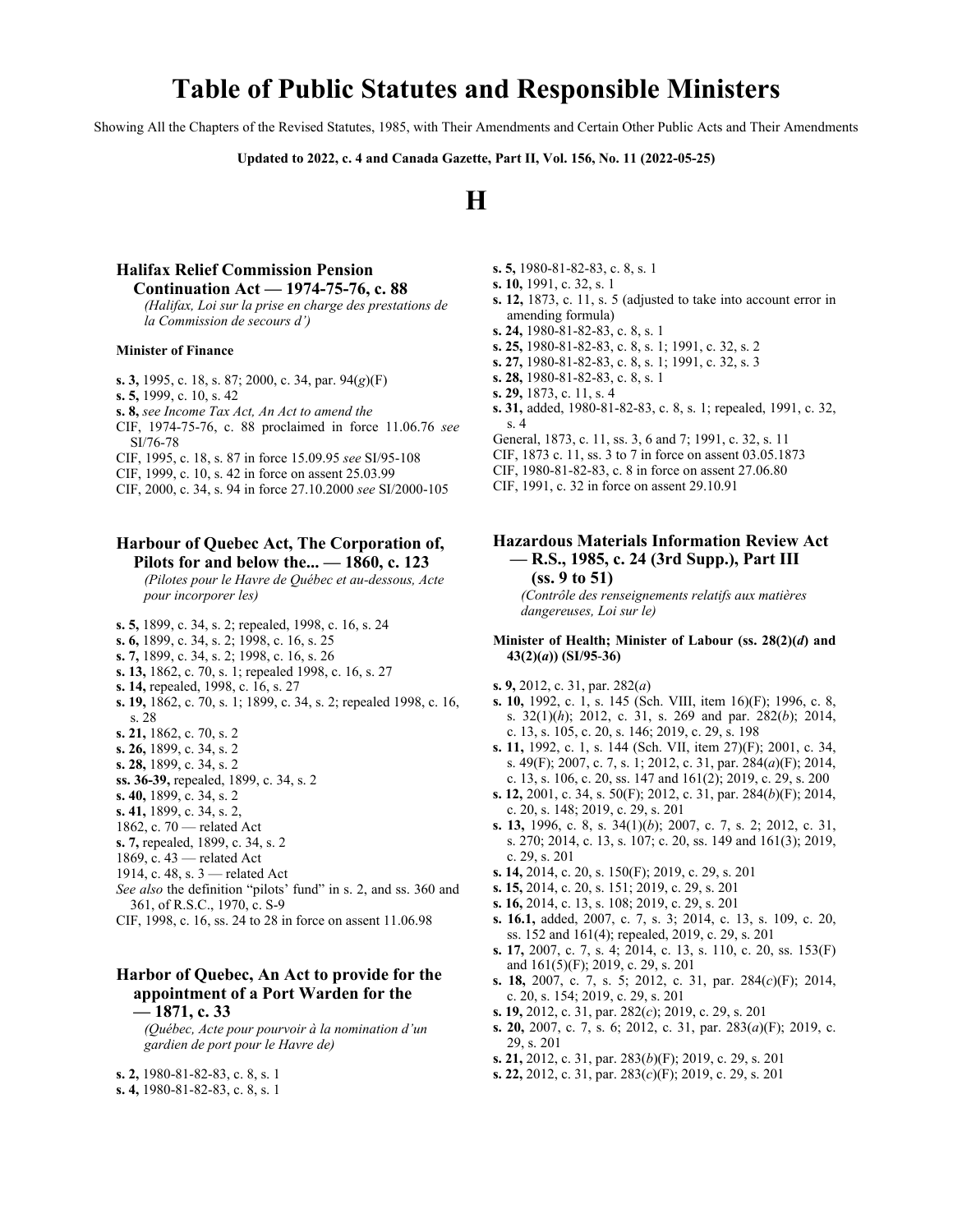## **Table of Public Statutes and Responsible Ministers**

Showing All the Chapters of the Revised Statutes, 1985, with Their Amendments and Certain Other Public Acts and Their Amendments

**Updated to 2022, c. 4 and Canada Gazette, Part II, Vol. 156, No. 11 (2022-05-25)**

# **H**

#### **Halifax Relief Commission Pension Continuation Act — 1974-75-76, c. 88**

*(Halifax, Loi sur la prise en charge des prestations de la Commission de secours d')*

#### **Minister of Finance**

- **s. 3,** 1995, c. 18, s. 87; 2000, c. 34, par. 94(*g*)(F)
- **s. 5,** 1999, c. 10, s. 42
- **s. 8,** *see Income Tax Act, An Act to amend the*
- CIF, 1974-75-76, c. 88 proclaimed in force 11.06.76 *see* SI/76‑78
- CIF, 1995, c. 18, s. 87 in force 15.09.95 *see* SI/95‑108
- CIF, 1999, c. 10, s. 42 in force on assent 25.03.99
- CIF, 2000, c. 34, s. 94 in force 27.10.2000 *see* SI/2000-105

#### **Harbour of Quebec Act, The Corporation of, Pilots for and below the... — 1860, c. 123**

*(Pilotes pour le Havre de Québec et au-dessous, Acte pour incorporer les)*

- **s. 5,** 1899, c. 34, s. 2; repealed, 1998, c. 16, s. 24
- **s. 6,** 1899, c. 34, s. 2; 1998, c. 16, s. 25
- **s. 7,** 1899, c. 34, s. 2; 1998, c. 16, s. 26
- **s. 13,** 1862, c. 70, s. 1; repealed 1998, c. 16, s. 27
- **s. 14,** repealed, 1998, c. 16, s. 27
- **s. 19,** 1862, c. 70, s. 1; 1899, c. 34, s. 2; repealed 1998, c. 16, s. 28
- **s. 21,** 1862, c. 70, s. 2
- **s. 26,** 1899, c. 34, s. 2
- **s. 28,** 1899, c. 34, s. 2
- **ss. 36-39,** repealed, 1899, c. 34, s. 2
- **s. 40,** 1899, c. 34, s. 2
- **s. 41,** 1899, c. 34, s. 2,
- 1862, c. 70 related Act
- **s. 7,** repealed, 1899, c. 34, s. 2
- 1869, c. 43 related Act
- 1914, c. 48, s. 3 related Act
- *See also* the definition "pilots' fund" in s. 2, and ss. 360 and 361, of R.S.C., 1970, c. S-9
- CIF, 1998, c. 16, ss. 24 to 28 in force on assent 11.06.98

#### **Harbor of Quebec, An Act to provide for the appointment of a Port Warden for the — 1871, c. 33**

*(Québec, Acte pour pourvoir à la nomination d'un gardien de port pour le Havre de)*

- **s. 2,** 1980-81-82-83, c. 8, s. 1
- **s. 4,** 1980-81-82-83, c. 8, s. 1
- **s. 5,** 1980-81-82-83, c. 8, s. 1
- **s. 10,** 1991, c. 32, s. 1
- **s. 12,** 1873, c. 11, s. 5 (adjusted to take into account error in amending formula)
- **s. 24,** 1980-81-82-83, c. 8, s. 1
- **s. 25,** 1980-81-82-83, c. 8, s. 1; 1991, c. 32, s. 2
- **s. 27,** 1980-81-82-83, c. 8, s. 1; 1991, c. 32, s. 3
- **s. 28,** 1980-81-82-83, c. 8, s. 1
- **s. 29,** 1873, c. 11, s. 4
- **s. 31,** added, 1980-81-82-83, c. 8, s. 1; repealed, 1991, c. 32, s. 4
- General, 1873, c. 11, ss. 3, 6 and 7; 1991, c. 32, s. 11
- CIF, 1873 c. 11, ss. 3 to 7 in force on assent 03.05.1873
- CIF, 1980-81-82-83, c. 8 in force on assent 27.06.80
- CIF, 1991, c. 32 in force on assent 29.10.91

#### **Hazardous Materials Information Review Act — R.S., 1985, c. 24 (3rd Supp.), Part III (ss. 9 to 51)**

*(Contrôle des renseignements relatifs aux matières dangereuses, Loi sur le)*

#### **Minister of Health; Minister of Labour (ss. 28(2)(***d***) and 43(2)(***a***)) (SI/95**‑**36)**

- **s. 9,** 2012, c. 31, par. 282(*a*)
- **s. 10,** 1992, c. 1, s. 145 (Sch. VIII, item 16)(F); 1996, c. 8, s. 32(1)(*h*); 2012, c. 31, s. 269 and par. 282(*b*); 2014, c. 13, s. 105, c. 20, s. 146; 2019, c. 29, s. 198
- **s. 11,** 1992, c. 1, s. 144 (Sch. VII, item 27)(F); 2001, c. 34, s. 49(F); 2007, c. 7, s. 1; 2012, c. 31, par. 284(*a*)(F); 2014, c. 13, s. 106, c. 20, ss. 147 and 161(2); 2019, c. 29, s. 200
- **s. 12,** 2001, c. 34, s. 50(F); 2012, c. 31, par. 284(*b*)(F); 2014, c. 20, s. 148; 2019, c. 29, s. 201
- **s. 13,** 1996, c. 8, s. 34(1)(*b*); 2007, c. 7, s. 2; 2012, c. 31, s. 270; 2014, c. 13, s. 107; c. 20, ss. 149 and 161(3); 2019, c. 29, s. 201
- **s. 14,** 2014, c. 20, s. 150(F); 2019, c. 29, s. 201
- **s. 15,** 2014, c. 20, s. 151; 2019, c. 29, s. 201
- **s. 16,** 2014, c. 13, s. 108; 2019, c. 29, s. 201
- **s. 16.1,** added, 2007, c. 7, s. 3; 2014, c. 13, s. 109, c. 20, ss. 152 and 161(4); repealed, 2019, c. 29, s. 201
- **s. 17,** 2007, c. 7, s. 4; 2014, c. 13, s. 110, c. 20, ss. 153(F) and 161(5)(F); 2019, c. 29, s. 201
- **s. 18,** 2007, c. 7, s. 5; 2012, c. 31, par. 284(*c*)(F); 2014, c. 20, s. 154; 2019, c. 29, s. 201
- **s. 19,** 2012, c. 31, par. 282(*c*); 2019, c. 29, s. 201
- **s. 20,** 2007, c. 7, s. 6; 2012, c. 31, par. 283(*a*)(F); 2019, c. 29, s. 201
- **s. 21,** 2012, c. 31, par. 283(*b*)(F); 2019, c. 29, s. 201
- **s. 22,** 2012, c. 31, par. 283(*c*)(F); 2019, c. 29, s. 201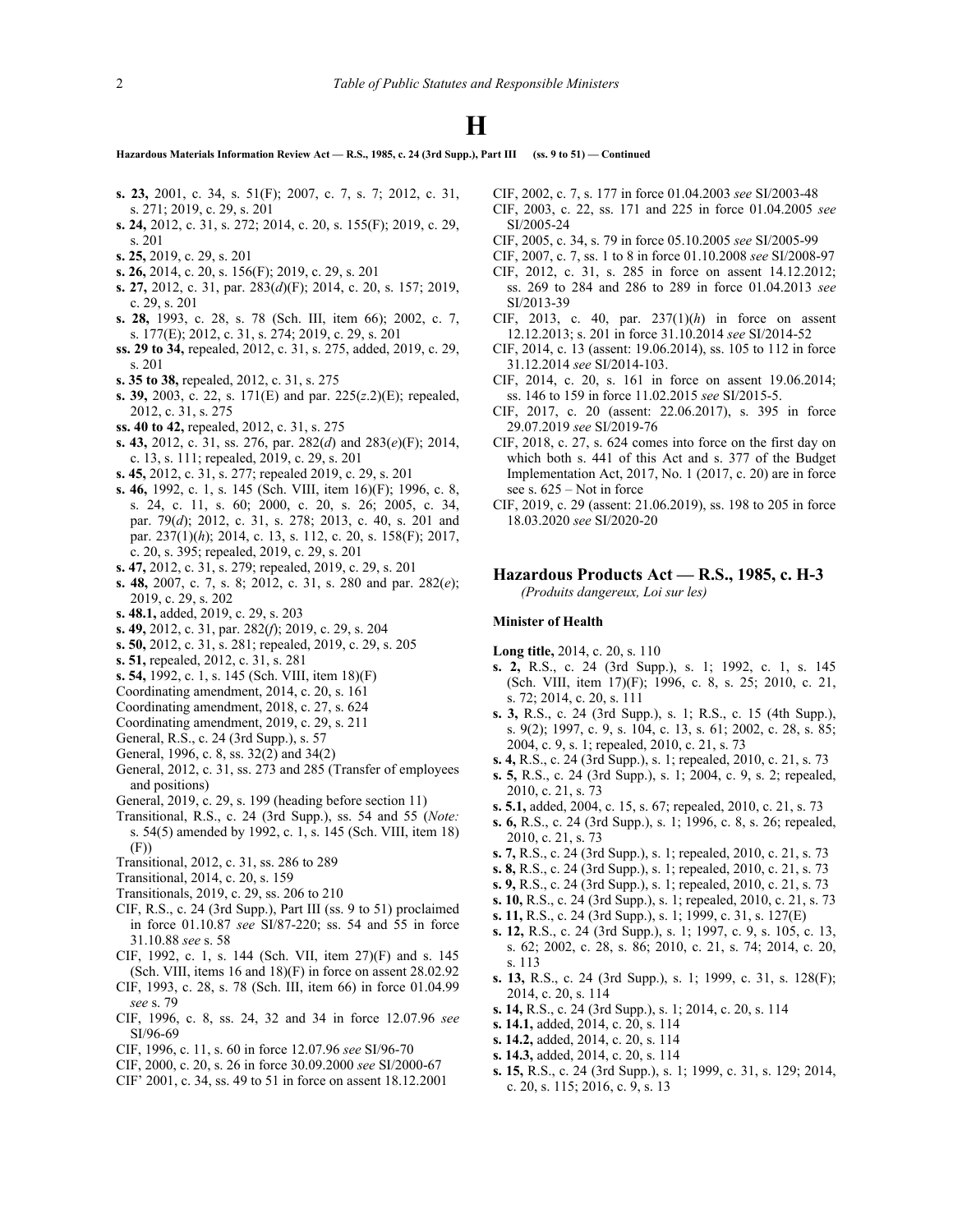**Hazardous Materials Information Review Act — R.S., 1985, c. 24 (3rd Supp.), Part III (ss. 9 to 51) — Continued**

- **s. 23,** 2001, c. 34, s. 51(F); 2007, c. 7, s. 7; 2012, c. 31, s. 271; 2019, c. 29, s. 201
- **s. 24,** 2012, c. 31, s. 272; 2014, c. 20, s. 155(F); 2019, c. 29, s. 201
- **s. 25,** 2019, c. 29, s. 201
- **s. 26,** 2014, c. 20, s. 156(F); 2019, c. 29, s. 201
- **s. 27,** 2012, c. 31, par. 283(*d*)(F); 2014, c. 20, s. 157; 2019, c. 29, s. 201
- **s. 28,** 1993, c. 28, s. 78 (Sch. III, item 66); 2002, c. 7, s. 177(E); 2012, c. 31, s. 274; 2019, c. 29, s. 201
- **ss. 29 to 34,** repealed, 2012, c. 31, s. 275, added, 2019, c. 29, s. 201
- **s. 35 to 38,** repealed, 2012, c. 31, s. 275
- **s. 39,** 2003, c. 22, s. 171(E) and par. 225(*z*.2)(E); repealed, 2012, c. 31, s. 275
- **ss. 40 to 42,** repealed, 2012, c. 31, s. 275
- **s. 43,** 2012, c. 31, ss. 276, par. 282(*d*) and 283(*e*)(F); 2014, c. 13, s. 111; repealed, 2019, c. 29, s. 201
- **s. 45,** 2012, c. 31, s. 277; repealed 2019, c. 29, s. 201
- **s. 46,** 1992, c. 1, s. 145 (Sch. VIII, item 16)(F); 1996, c. 8, s. 24, c. 11, s. 60; 2000, c. 20, s. 26; 2005, c. 34, par. 79(*d*); 2012, c. 31, s. 278; 2013, c. 40, s. 201 and par. 237(1)(*h*); 2014, c. 13, s. 112, c. 20, s. 158(F); 2017, c. 20, s. 395; repealed, 2019, c. 29, s. 201
- **s. 47,** 2012, c. 31, s. 279; repealed, 2019, c. 29, s. 201
- **s. 48,** 2007, c. 7, s. 8; 2012, c. 31, s. 280 and par. 282(*e*); 2019, c. 29, s. 202
- **s. 48.1,** added, 2019, c. 29, s. 203
- **s. 49,** 2012, c. 31, par. 282(*f*); 2019, c. 29, s. 204
- **s. 50,** 2012, c. 31, s. 281; repealed, 2019, c. 29, s. 205
- **s. 51,** repealed, 2012, c. 31, s. 281
- **s. 54,** 1992, c. 1, s. 145 (Sch. VIII, item 18)(F)
- Coordinating amendment, 2014, c. 20, s. 161
- Coordinating amendment, 2018, c. 27, s. 624
- Coordinating amendment, 2019, c. 29, s. 211
- General, R.S., c. 24 (3rd Supp.), s. 57
- General, 1996, c. 8, ss. 32(2) and 34(2)
- General, 2012, c. 31, ss. 273 and 285 (Transfer of employees and positions)
- General, 2019, c. 29, s. 199 (heading before section 11)
- Transitional, R.S., c. 24 (3rd Supp.), ss. 54 and 55 (*Note:* s. 54(5) amended by 1992, c. 1, s. 145 (Sch. VIII, item 18) (F))
- Transitional, 2012, c. 31, ss. 286 to 289
- Transitional, 2014, c. 20, s. 159
- Transitionals, 2019, c. 29, ss. 206 to 210
- CIF, R.S., c. 24 (3rd Supp.), Part III (ss. 9 to 51) proclaimed in force 01.10.87 *see* SI/87‑220; ss. 54 and 55 in force 31.10.88 *see* s. 58
- CIF, 1992, c. 1, s. 144 (Sch. VII, item 27)(F) and s. 145 (Sch. VIII, items 16 and 18)(F) in force on assent 28.02.92
- CIF, 1993, c. 28, s. 78 (Sch. III, item 66) in force 01.04.99 *see* s. 79
- CIF, 1996, c. 8, ss. 24, 32 and 34 in force 12.07.96 *see* SI/96-69
- CIF, 1996, c. 11, s. 60 in force 12.07.96 *see* SI/96‑70
- CIF, 2000, c. 20, s. 26 in force 30.09.2000 *see* SI/2000-67
- CIF' 2001, c. 34, ss. 49 to 51 in force on assent 18.12.2001
- CIF, 2002, c. 7, s. 177 in force 01.04.2003 *see* SI/2003-48
- CIF, 2003, c. 22, ss. 171 and 225 in force 01.04.2005 *see* SI/2005-24
- CIF, 2005, c. 34, s. 79 in force 05.10.2005 *see* SI/2005-99
- CIF, 2007, c. 7, ss. 1 to 8 in force 01.10.2008 *see* SI/2008-97
- CIF, 2012, c. 31, s. 285 in force on assent 14.12.2012; ss. 269 to 284 and 286 to 289 in force 01.04.2013 *see* SI/2013-39
- CIF, 2013, c. 40, par. 237(1)(*h*) in force on assent 12.12.2013; s. 201 in force 31.10.2014 *see* SI/2014-52
- CIF, 2014, c. 13 (assent: 19.06.2014), ss. 105 to 112 in force 31.12.2014 *see* SI/2014-103.
- CIF, 2014, c. 20, s. 161 in force on assent 19.06.2014; ss. 146 to 159 in force 11.02.2015 *see* SI/2015-5.
- CIF, 2017, c. 20 (assent: 22.06.2017), s. 395 in force 29.07.2019 *see* SI/2019-76
- CIF, 2018, c. 27, s. 624 comes into force on the first day on which both s. 441 of this Act and s. 377 of the Budget Implementation Act, 2017, No. 1 (2017, c. 20) are in force see s. 625 – Not in force
- CIF, 2019, c. 29 (assent: 21.06.2019), ss. 198 to 205 in force 18.03.2020 *see* SI/2020-20

#### **Hazardous Products Act — R.S., 1985, c. H-3**

*(Produits dangereux, Loi sur les)*

#### **Minister of Health**

- **Long title,** 2014, c. 20, s. 110
- **s. 2,** R.S., c. 24 (3rd Supp.), s. 1; 1992, c. 1, s. 145 (Sch. VIII, item 17)(F); 1996, c. 8, s. 25; 2010, c. 21, s. 72; 2014, c. 20, s. 111
- **s. 3,** R.S., c. 24 (3rd Supp.), s. 1; R.S., c. 15 (4th Supp.), s. 9(2); 1997, c. 9, s. 104, c. 13, s. 61; 2002, c. 28, s. 85; 2004, c. 9, s. 1; repealed, 2010, c. 21, s. 73
- **s. 4,** R.S., c. 24 (3rd Supp.), s. 1; repealed, 2010, c. 21, s. 73
- **s. 5,** R.S., c. 24 (3rd Supp.), s. 1; 2004, c. 9, s. 2; repealed, 2010, c. 21, s. 73
- **s. 5.1,** added, 2004, c. 15, s. 67; repealed, 2010, c. 21, s. 73
- **s. 6,** R.S., c. 24 (3rd Supp.), s. 1; 1996, c. 8, s. 26; repealed, 2010, c. 21, s. 73
- **s. 7,** R.S., c. 24 (3rd Supp.), s. 1; repealed, 2010, c. 21, s. 73
- **s. 8,** R.S., c. 24 (3rd Supp.), s. 1; repealed, 2010, c. 21, s. 73
- **s. 9,** R.S., c. 24 (3rd Supp.), s. 1; repealed, 2010, c. 21, s. 73
- **s. 10,** R.S., c. 24 (3rd Supp.), s. 1; repealed, 2010, c. 21, s. 73
- **s. 11,** R.S., c. 24 (3rd Supp.), s. 1; 1999, c. 31, s. 127(E)
- **s. 12,** R.S., c. 24 (3rd Supp.), s. 1; 1997, c. 9, s. 105, c. 13, s. 62; 2002, c. 28, s. 86; 2010, c. 21, s. 74; 2014, c. 20, s. 113
- **s. 13,** R.S., c. 24 (3rd Supp.), s. 1; 1999, c. 31, s. 128(F); 2014, c. 20, s. 114
- **s. 14,** R.S., c. 24 (3rd Supp.), s. 1; 2014, c. 20, s. 114
- **s. 14.1,** added, 2014, c. 20, s. 114
- **s. 14.2,** added, 2014, c. 20, s. 114
- **s. 14.3,** added, 2014, c. 20, s. 114
- **s. 15,** R.S., c. 24 (3rd Supp.), s. 1; 1999, c. 31, s. 129; 2014, c. 20, s. 115; 2016, c. 9, s. 13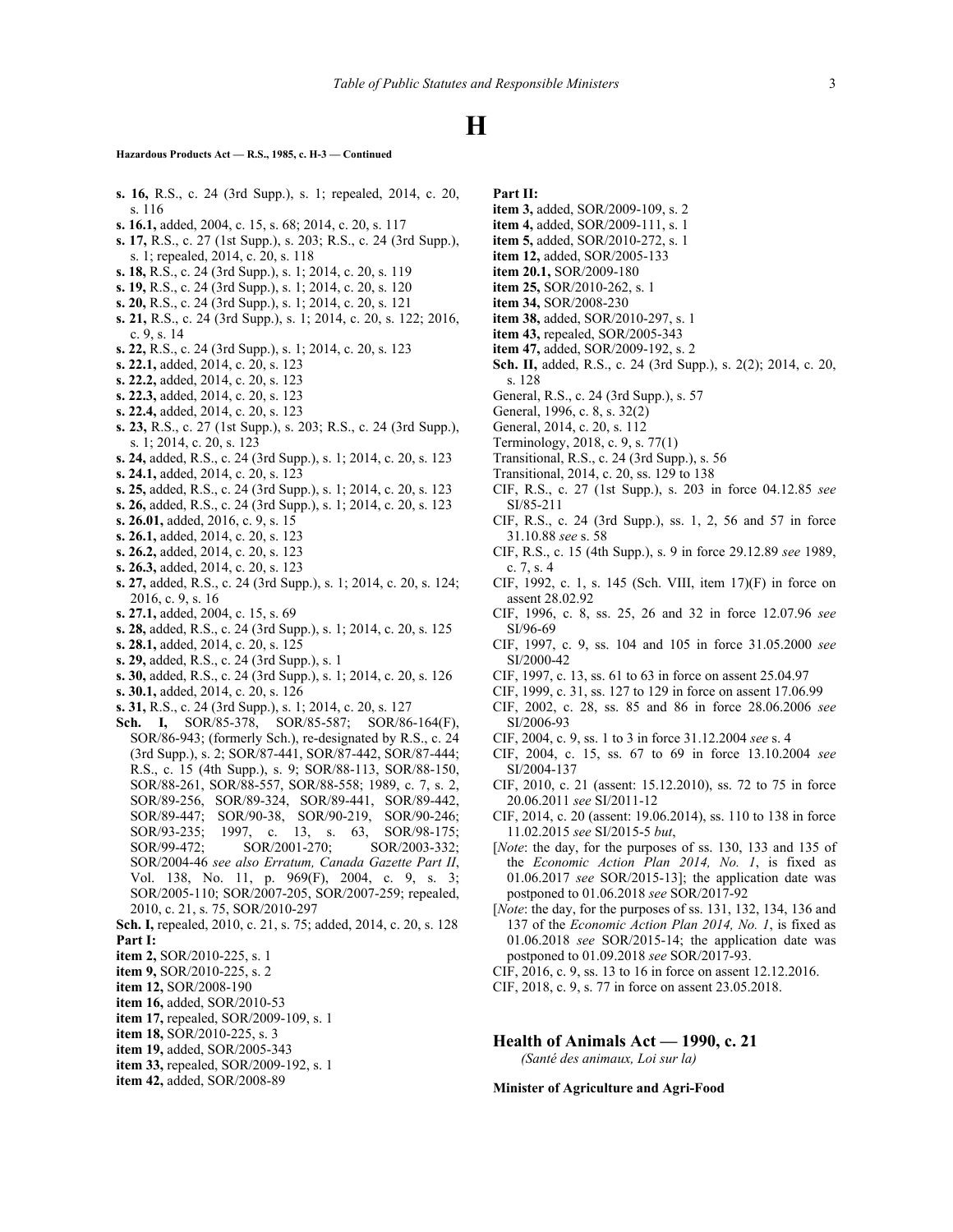**Hazardous Products Act — R.S., 1985, c. H-3 — Continued**

- **s. 16,** R.S., c. 24 (3rd Supp.), s. 1; repealed, 2014, c. 20, s. 116
- **s. 16.1,** added, 2004, c. 15, s. 68; 2014, c. 20, s. 117
- **s. 17,** R.S., c. 27 (1st Supp.), s. 203; R.S., c. 24 (3rd Supp.), s. 1; repealed, 2014, c. 20, s. 118
- **s. 18,** R.S., c. 24 (3rd Supp.), s. 1; 2014, c. 20, s. 119
- **s. 19,** R.S., c. 24 (3rd Supp.), s. 1; 2014, c. 20, s. 120
- **s. 20,** R.S., c. 24 (3rd Supp.), s. 1; 2014, c. 20, s. 121
- **s. 21,** R.S., c. 24 (3rd Supp.), s. 1; 2014, c. 20, s. 122; 2016, c. 9, s. 14
- **s. 22,** R.S., c. 24 (3rd Supp.), s. 1; 2014, c. 20, s. 123
- **s. 22.1,** added, 2014, c. 20, s. 123
- **s. 22.2,** added, 2014, c. 20, s. 123
- **s. 22.3,** added, 2014, c. 20, s. 123
- **s. 22.4,** added, 2014, c. 20, s. 123
- **s. 23,** R.S., c. 27 (1st Supp.), s. 203; R.S., c. 24 (3rd Supp.), s. 1; 2014, c. 20, s. 123
- **s. 24,** added, R.S., c. 24 (3rd Supp.), s. 1; 2014, c. 20, s. 123 **s. 24.1,** added, 2014, c. 20, s. 123
- 
- **s. 25,** added, R.S., c. 24 (3rd Supp.), s. 1; 2014, c. 20, s. 123
- **s. 26,** added, R.S., c. 24 (3rd Supp.), s. 1; 2014, c. 20, s. 123 **s. 26.01,** added, 2016, c. 9, s. 15
- 
- **s. 26.1,** added, 2014, c. 20, s. 123
- **s. 26.2,** added, 2014, c. 20, s. 123
- **s. 26.3,** added, 2014, c. 20, s. 123
- **s. 27,** added, R.S., c. 24 (3rd Supp.), s. 1; 2014, c. 20, s. 124; 2016, c. 9, s. 16
- **s. 27.1,** added, 2004, c. 15, s. 69
- **s. 28,** added, R.S., c. 24 (3rd Supp.), s. 1; 2014, c. 20, s. 125
- **s. 28.1,** added, 2014, c. 20, s. 125
- **s. 29,** added, R.S., c. 24 (3rd Supp.), s. 1
- **s. 30,** added, R.S., c. 24 (3rd Supp.), s. 1; 2014, c. 20, s. 126
- **s. 30.1,** added, 2014, c. 20, s. 126
- **s. 31,** R.S., c. 24 (3rd Supp.), s. 1; 2014, c. 20, s. 127
- **Sch. I,** SOR/85‑378, SOR/85‑587; SOR/86‑164(F), SOR/86‑943; (formerly Sch.), re-designated by R.S., c. 24 (3rd Supp.), s. 2; SOR/87‑441, SOR/87‑442, SOR/87‑444; R.S., c. 15 (4th Supp.), s. 9; SOR/88‑113, SOR/88‑150, SOR/88‑261, SOR/88‑557, SOR/88‑558; 1989, c. 7, s. 2, SOR/89‑256, SOR/89‑324, SOR/89‑441, SOR/89‑442, SOR/89‑447; SOR/90‑38, SOR/90‑219, SOR/90‑246; SOR/93-235; 1997, c. 13, s. 63, SOR/98-175; SOR/99-472; SOR/2001-270; SOR/2003-332; SOR/2004-46 *see also Erratum, Canada Gazette Part II*, Vol. 138, No. 11, p. 969(F), 2004, c. 9, s. 3; SOR/2005-110; SOR/2007-205, SOR/2007-259; repealed, 2010, c. 21, s. 75, SOR/2010‑297
- **Sch. I,** repealed, 2010, c. 21, s. 75; added, 2014, c. 20, s. 128 **Part I:**
- **item 2,** SOR/2010-225, s. 1
- **item 9,** SOR/2010-225, s. 2
- **item 12,** SOR/2008-190
- **item 16,** added, SOR/2010-53
- **item 17,** repealed, SOR/2009-109, s. 1
- **item 18,** SOR/2010-225, s. 3
- **item 19,** added, SOR/2005-343
- **item 33,** repealed, SOR/2009-192, s. 1
- **item 42,** added, SOR/2008-89

**Part II:**

- **item 3,** added, SOR/2009-109, s. 2
- **item 4,** added, SOR/2009-111, s. 1
- **item 5,** added, SOR/2010-272, s. 1
- **item 12,** added, SOR/2005-133
- **item 20.1,** SOR/2009-180
- **item 25,** SOR/2010-262, s. 1
- **item 34,** SOR/2008-230
- **item 38,** added, SOR/2010-297, s. 1
- **item 43,** repealed, SOR/2005-343
- **item 47,** added, SOR/2009-192, s. 2
- **Sch. II,** added, R.S., c. 24 (3rd Supp.), s. 2(2); 2014, c. 20, s. 128
- General, R.S., c. 24 (3rd Supp.), s. 57
- General, 1996, c. 8, s. 32(2)
- General, 2014, c. 20, s. 112
- Terminology, 2018, c. 9, s. 77(1)
- Transitional, R.S., c. 24 (3rd Supp.), s. 56
- Transitional, 2014, c. 20, ss. 129 to 138
- CIF, R.S., c. 27 (1st Supp.), s. 203 in force 04.12.85 *see* SI/85-211
- CIF, R.S., c. 24 (3rd Supp.), ss. 1, 2, 56 and 57 in force 31.10.88 *see* s. 58
- CIF, R.S., c. 15 (4th Supp.), s. 9 in force 29.12.89 *see* 1989, c. 7, s. 4
- CIF, 1992, c. 1, s. 145 (Sch. VIII, item 17)(F) in force on assent 28.02.92
- CIF, 1996, c. 8, ss. 25, 26 and 32 in force 12.07.96 *see* SI/96‑69
- CIF, 1997, c. 9, ss. 104 and 105 in force 31.05.2000 *see* SI/2000‑42
- CIF, 1997, c. 13, ss. 61 to 63 in force on assent 25.04.97
- CIF, 1999, c. 31, ss. 127 to 129 in force on assent 17.06.99
- CIF, 2002, c. 28, ss. 85 and 86 in force 28.06.2006 *see* SI/2006-93
- CIF, 2004, c. 9, ss. 1 to 3 in force 31.12.2004 *see* s. 4
- CIF, 2004, c. 15, ss. 67 to 69 in force 13.10.2004 *see* SI/2004-137
- CIF, 2010, c. 21 (assent: 15.12.2010), ss. 72 to 75 in force 20.06.2011 *see* SI/2011‑12
- CIF, 2014, c. 20 (assent: 19.06.2014), ss. 110 to 138 in force 11.02.2015 *see* SI/2015-5 *but*,
- [*Note*: the day, for the purposes of ss. 130, 133 and 135 of the *Economic Action Plan 2014, No. 1*, is fixed as 01.06.2017 *see* SOR/2015-13]; the application date was postponed to 01.06.2018 *see* SOR/2017-92
- [*Note*: the day, for the purposes of ss. 131, 132, 134, 136 and 137 of the *Economic Action Plan 2014, No. 1*, is fixed as 01.06.2018 *see* SOR/2015-14; the application date was postponed to 01.09.2018 *see* SOR/2017-93.
- CIF, 2016, c. 9, ss. 13 to 16 in force on assent 12.12.2016.
- CIF, 2018, c. 9, s. 77 in force on assent 23.05.2018.

**Health of Animals Act — 1990, c. 21** *(Santé des animaux, Loi sur la)*

**Minister of Agriculture and Agri-Food**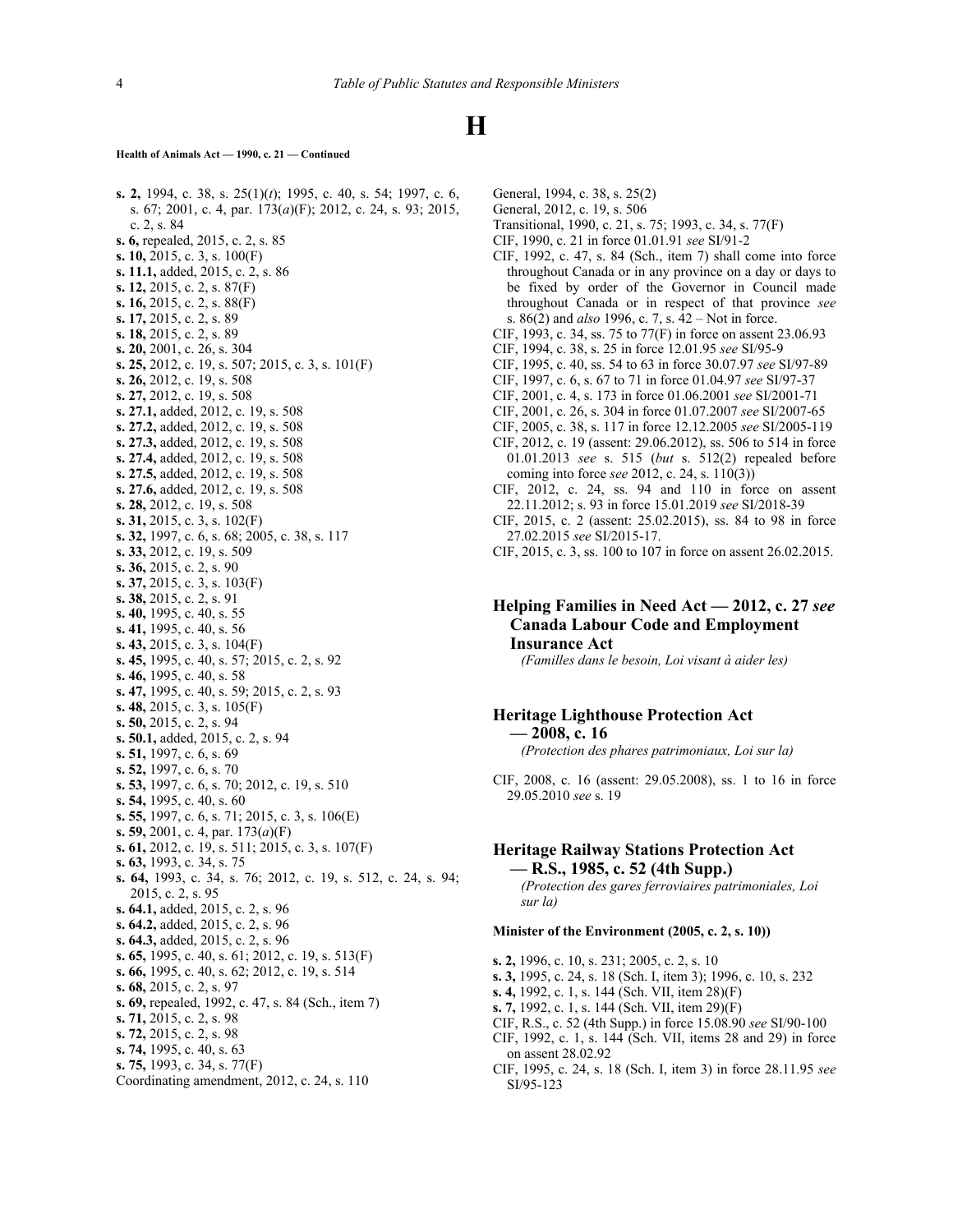#### **Health of Animals Act — 1990, c. 21 — Continued**

**s. 2,** 1994, c. 38, s. 25(1)(*t*); 1995, c. 40, s. 54; 1997, c. 6, s. 67; 2001, c. 4, par. 173(*a*)(F); 2012, c. 24, s. 93; 2015, c. 2, s. 84 **s. 6,** repealed, 2015, c. 2, s. 85 **s. 10,** 2015, c. 3, s. 100(F) **s. 11.1,** added, 2015, c. 2, s. 86 **s. 12,** 2015, c. 2, s. 87(F) **s. 16,** 2015, c. 2, s. 88(F) **s. 17,** 2015, c. 2, s. 89 **s. 18,** 2015, c. 2, s. 89 **s. 20,** 2001, c. 26, s. 304 **s. 25,** 2012, c. 19, s. 507; 2015, c. 3, s. 101(F) **s. 26,** 2012, c. 19, s. 508 **s. 27,** 2012, c. 19, s. 508 **s. 27.1,** added, 2012, c. 19, s. 508 **s. 27.2,** added, 2012, c. 19, s. 508 **s. 27.3,** added, 2012, c. 19, s. 508 **s. 27.4,** added, 2012, c. 19, s. 508 **s. 27.5,** added, 2012, c. 19, s. 508 **s. 27.6,** added, 2012, c. 19, s. 508 **s. 28,** 2012, c. 19, s. 508 **s. 31,** 2015, c. 3, s. 102(F) **s. 32,** 1997, c. 6, s. 68; 2005, c. 38, s. 117 **s. 33,** 2012, c. 19, s. 509 **s. 36,** 2015, c. 2, s. 90 **s. 37,** 2015, c. 3, s. 103(F) **s. 38,** 2015, c. 2, s. 91 **s. 40,** 1995, c. 40, s. 55 **s. 41,** 1995, c. 40, s. 56 **s. 43,** 2015, c. 3, s. 104(F) **s. 45,** 1995, c. 40, s. 57; 2015, c. 2, s. 92 **s. 46,** 1995, c. 40, s. 58 **s. 47,** 1995, c. 40, s. 59; 2015, c. 2, s. 93 **s. 48,** 2015, c. 3, s. 105(F) **s. 50,** 2015, c. 2, s. 94 **s. 50.1,** added, 2015, c. 2, s. 94 **s. 51,** 1997, c. 6, s. 69 **s. 52,** 1997, c. 6, s. 70 **s. 53,** 1997, c. 6, s. 70; 2012, c. 19, s. 510 **s. 54,** 1995, c. 40, s. 60 **s. 55,** 1997, c. 6, s. 71; 2015, c. 3, s. 106(E) **s. 59,** 2001, c. 4, par. 173(*a*)(F) **s. 61,** 2012, c. 19, s. 511; 2015, c. 3, s. 107(F) **s. 63,** 1993, c. 34, s. 75 **s. 64,** 1993, c. 34, s. 76; 2012, c. 19, s. 512, c. 24, s. 94; 2015, c. 2, s. 95 **s. 64.1,** added, 2015, c. 2, s. 96 **s. 64.2,** added, 2015, c. 2, s. 96 **s. 64.3,** added, 2015, c. 2, s. 96 **s. 65,** 1995, c. 40, s. 61; 2012, c. 19, s. 513(F) **s. 66,** 1995, c. 40, s. 62; 2012, c. 19, s. 514 **s. 68,** 2015, c. 2, s. 97 **s. 69,** repealed, 1992, c. 47, s. 84 (Sch., item 7) **s. 71,** 2015, c. 2, s. 98 **s. 72,** 2015, c. 2, s. 98 **s. 74,** 1995, c. 40, s. 63 **s. 75,** 1993, c. 34, s. 77(F) Coordinating amendment, 2012, c. 24, s. 110

General, 1994, c. 38, s. 25(2) General, 2012, c. 19, s. 506

- Transitional, 1990, c. 21, s. 75; 1993, c. 34, s. 77(F)
- CIF, 1990, c. 21 in force 01.01.91 *see* SI/91‑2
- CIF, 1992, c. 47, s. 84 (Sch., item 7) shall come into force throughout Canada or in any province on a day or days to be fixed by order of the Governor in Council made throughout Canada or in respect of that province *see* s. 86(2) and *also* 1996, c. 7, s. 42 – Not in force.
- CIF, 1993, c. 34, ss. 75 to 77(F) in force on assent 23.06.93
- CIF, 1994, c. 38, s. 25 in force 12.01.95 *see* SI/95‑9
- CIF, 1995, c. 40, ss. 54 to 63 in force 30.07.97 *see* SI/97‑89
- CIF, 1997, c. 6, s. 67 to 71 in force 01.04.97 *see* SI/97‑37
- CIF, 2001, c. 4, s. 173 in force 01.06.2001 *see* SI/2001‑71
- CIF, 2001, c. 26, s. 304 in force 01.07.2007 *see* SI/2007-65
- CIF, 2005, c. 38, s. 117 in force 12.12.2005 *see* SI/2005-119
- CIF, 2012, c. 19 (assent: 29.06.2012), ss. 506 to 514 in force 01.01.2013 *see* s. 515 (*but* s. 512(2) repealed before coming into force *see* 2012, c. 24, s. 110(3))
- CIF, 2012, c. 24, ss. 94 and 110 in force on assent 22.11.2012; s. 93 in force 15.01.2019 *see* SI/2018-39
- CIF, 2015, c. 2 (assent: 25.02.2015), ss. 84 to 98 in force 27.02.2015 *see* SI/2015-17.
- CIF, 2015, c. 3, ss. 100 to 107 in force on assent 26.02.2015.

#### **Helping Families in Need Act — 2012, c. 27** *see* **Canada Labour Code and Employment Insurance Act**

*(Familles dans le besoin, Loi visant à aider les)*

#### **Heritage Lighthouse Protection Act — 2008, c. 16**

*(Protection des phares patrimoniaux, Loi sur la)*

CIF, 2008, c. 16 (assent: 29.05.2008), ss. 1 to 16 in force 29.05.2010 *see* s. 19

#### **Heritage Railway Stations Protection Act — R.S., 1985, c. 52 (4th Supp.)**

*(Protection des gares ferroviaires patrimoniales, Loi sur la)*

#### **Minister of the Environment (2005, c. 2, s. 10))**

- **s. 2,** 1996, c. 10, s. 231; 2005, c. 2, s. 10
- **s. 3,** 1995, c. 24, s. 18 (Sch. I, item 3); 1996, c. 10, s. 232
- **s. 4,** 1992, c. 1, s. 144 (Sch. VII, item 28)(F)
- **s. 7,** 1992, c. 1, s. 144 (Sch. VII, item 29)(F)
- CIF, R.S., c. 52 (4th Supp.) in force 15.08.90 *see* SI/90‑100
- CIF, 1992, c. 1, s. 144 (Sch. VII, items 28 and 29) in force on assent 28.02.92
- CIF, 1995, c. 24, s. 18 (Sch. I, item 3) in force 28.11.95 *see* SI/95‑123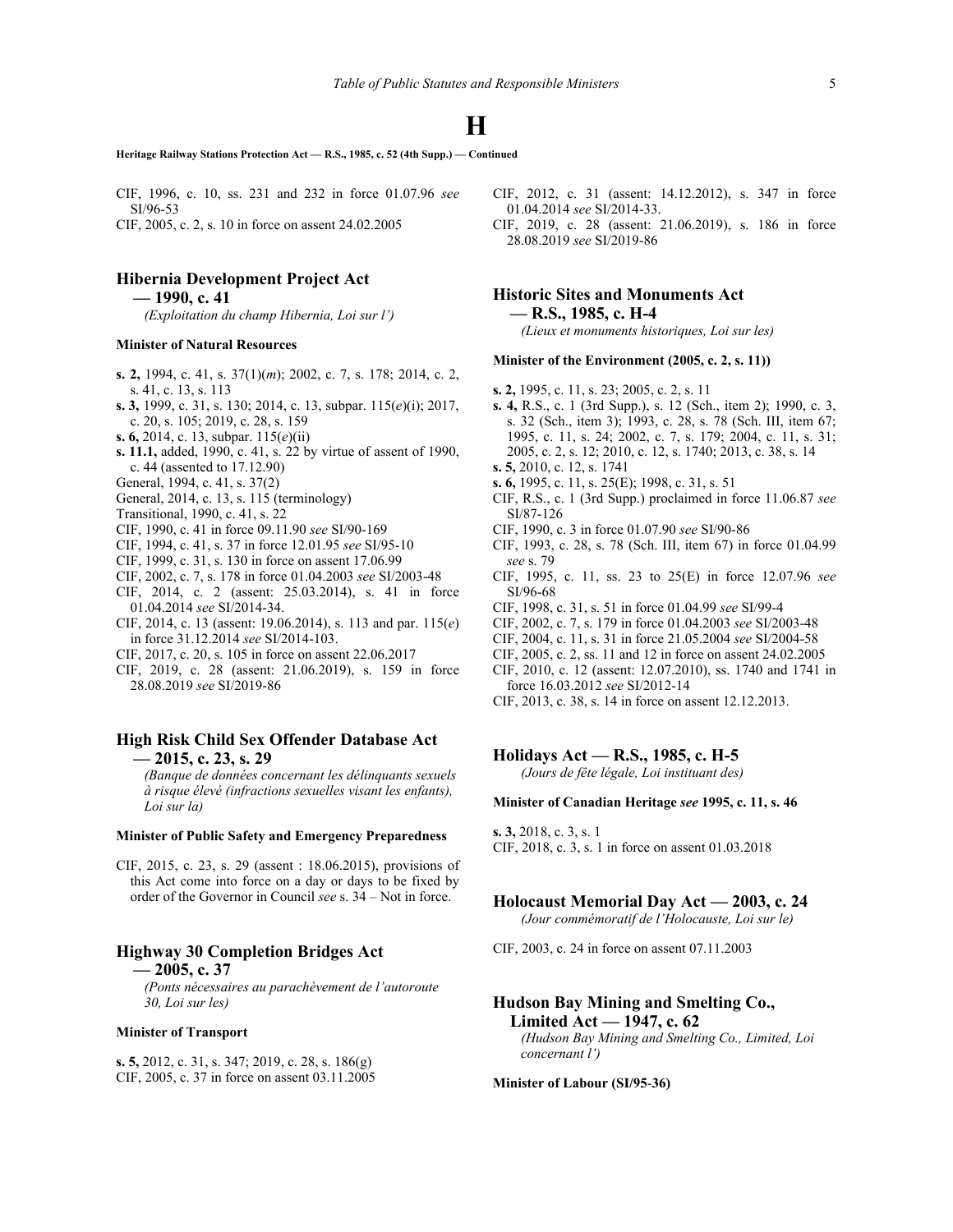**Heritage Railway Stations Protection Act — R.S., 1985, c. 52 (4th Supp.) — Continued**

CIF, 1996, c. 10, ss. 231 and 232 in force 01.07.96 *see* SI/96‑53 CIF, 2005, c. 2, s. 10 in force on assent 24.02.2005

#### **Hibernia Development Project Act**

**— 1990, c. 41**

*(Exploitation du champ Hibernia, Loi sur l')*

#### **Minister of Natural Resources**

- **s. 2,** 1994, c. 41, s. 37(1)(*m*); 2002, c. 7, s. 178; 2014, c. 2, s. 41, c. 13, s. 113
- **s. 3,** 1999, c. 31, s. 130; 2014, c. 13, subpar. 115(*e*)(i); 2017, c. 20, s. 105; 2019, c. 28, s. 159
- **s. 6,** 2014, c. 13, subpar. 115(*e*)(ii)
- **s. 11.1,** added, 1990, c. 41, s. 22 by virtue of assent of 1990, c. 44 (assented to 17.12.90)
- General, 1994, c. 41, s. 37(2)
- General, 2014, c. 13, s. 115 (terminology)
- Transitional, 1990, c. 41, s. 22
- CIF, 1990, c. 41 in force 09.11.90 *see* SI/90‑169
- CIF, 1994, c. 41, s. 37 in force 12.01.95 *see* SI/95‑10
- CIF, 1999, c. 31, s. 130 in force on assent 17.06.99
- CIF, 2002, c. 7, s. 178 in force 01.04.2003 *see* SI/2003-48
- CIF, 2014, c. 2 (assent: 25.03.2014), s. 41 in force 01.04.2014 *see* SI/2014-34.
- CIF, 2014, c. 13 (assent: 19.06.2014), s. 113 and par. 115(*e*) in force 31.12.2014 *see* SI/2014-103.
- CIF, 2017, c. 20, s. 105 in force on assent 22.06.2017
- CIF, 2019, c. 28 (assent: 21.06.2019), s. 159 in force 28.08.2019 *see* SI/2019-86

#### **High Risk Child Sex Offender Database Act — 2015, c. 23, s. 29**

*(Banque de données concernant les délinquants sexuels à risque élevé (infractions sexuelles visant les enfants), Loi sur la)*

#### **Minister of Public Safety and Emergency Preparedness**

CIF, 2015, c. 23, s. 29 (assent : 18.06.2015), provisions of this Act come into force on a day or days to be fixed by order of the Governor in Council *see* s. 34 – Not in force.

#### **Highway 30 Completion Bridges Act**

**— 2005, c. 37**

*(Ponts nécessaires au parachèvement de l'autoroute 30, Loi sur les)*

#### **Minister of Transport**

**s. 5,** 2012, c. 31, s. 347; 2019, c. 28, s. 186(g) CIF, 2005, c. 37 in force on assent 03.11.2005

- CIF, 2012, c. 31 (assent: 14.12.2012), s. 347 in force 01.04.2014 *see* SI/2014-33.
- CIF, 2019, c. 28 (assent: 21.06.2019), s. 186 in force 28.08.2019 *see* SI/2019-86

### **Historic Sites and Monuments Act — R.S., 1985, c. H-4**

*(Lieux et monuments historiques, Loi sur les)*

#### **Minister of the Environment (2005, c. 2, s. 11))**

- **s. 2,** 1995, c. 11, s. 23; 2005, c. 2, s. 11
- **s. 4,** R.S., c. 1 (3rd Supp.), s. 12 (Sch., item 2); 1990, c. 3, s. 32 (Sch., item 3); 1993, c. 28, s. 78 (Sch. III, item 67; 1995, c. 11, s. 24; 2002, c. 7, s. 179; 2004, c. 11, s. 31; 2005, c. 2, s. 12; 2010, c. 12, s. 1740; 2013, c. 38, s. 14
- **s. 5,** 2010, c. 12, s. 1741
- **s. 6,** 1995, c. 11, s. 25(E); 1998, c. 31, s. 51
- CIF, R.S., c. 1 (3rd Supp.) proclaimed in force 11.06.87 *see* SI/87‑126
- CIF, 1990, c. 3 in force 01.07.90 *see* SI/90‑86
- CIF, 1993, c. 28, s. 78 (Sch. III, item 67) in force 01.04.99 *see* s. 79
- CIF, 1995, c. 11, ss. 23 to 25(E) in force 12.07.96 *see* SI/96‑68
- CIF, 1998, c. 31, s. 51 in force 01.04.99 *see* SI/99‑4
- CIF, 2002, c. 7, s. 179 in force 01.04.2003 *see* SI/2003-48
- CIF, 2004, c. 11, s. 31 in force 21.05.2004 *see* SI/2004-58
- CIF, 2005, c. 2, ss. 11 and 12 in force on assent 24.02.2005
- CIF, 2010, c. 12 (assent: 12.07.2010), ss. 1740 and 1741 in force 16.03.2012 *see* SI/2012-14
- CIF, 2013, c. 38, s. 14 in force on assent 12.12.2013.

#### **Holidays Act — R.S., 1985, c. H-5**

*(Jours de fête légale, Loi instituant des)*

#### **Minister of Canadian Heritage** *see* **1995, c. 11, s. 46**

**s. 3,** 2018, c. 3, s. 1 CIF, 2018, c. 3, s. 1 in force on assent 01.03.2018

### **Holocaust Memorial Day Act — 2003, c. 24**

*(Jour commémoratif de l'Holocauste, Loi sur le)*

CIF, 2003, c. 24 in force on assent 07.11.2003

#### **Hudson Bay Mining and Smelting Co., Limited Act — 1947, c. 62** *(Hudson Bay Mining and Smelting Co., Limited, Loi*

*concernant l')*

**Minister of Labour (SI/95**‑**36)**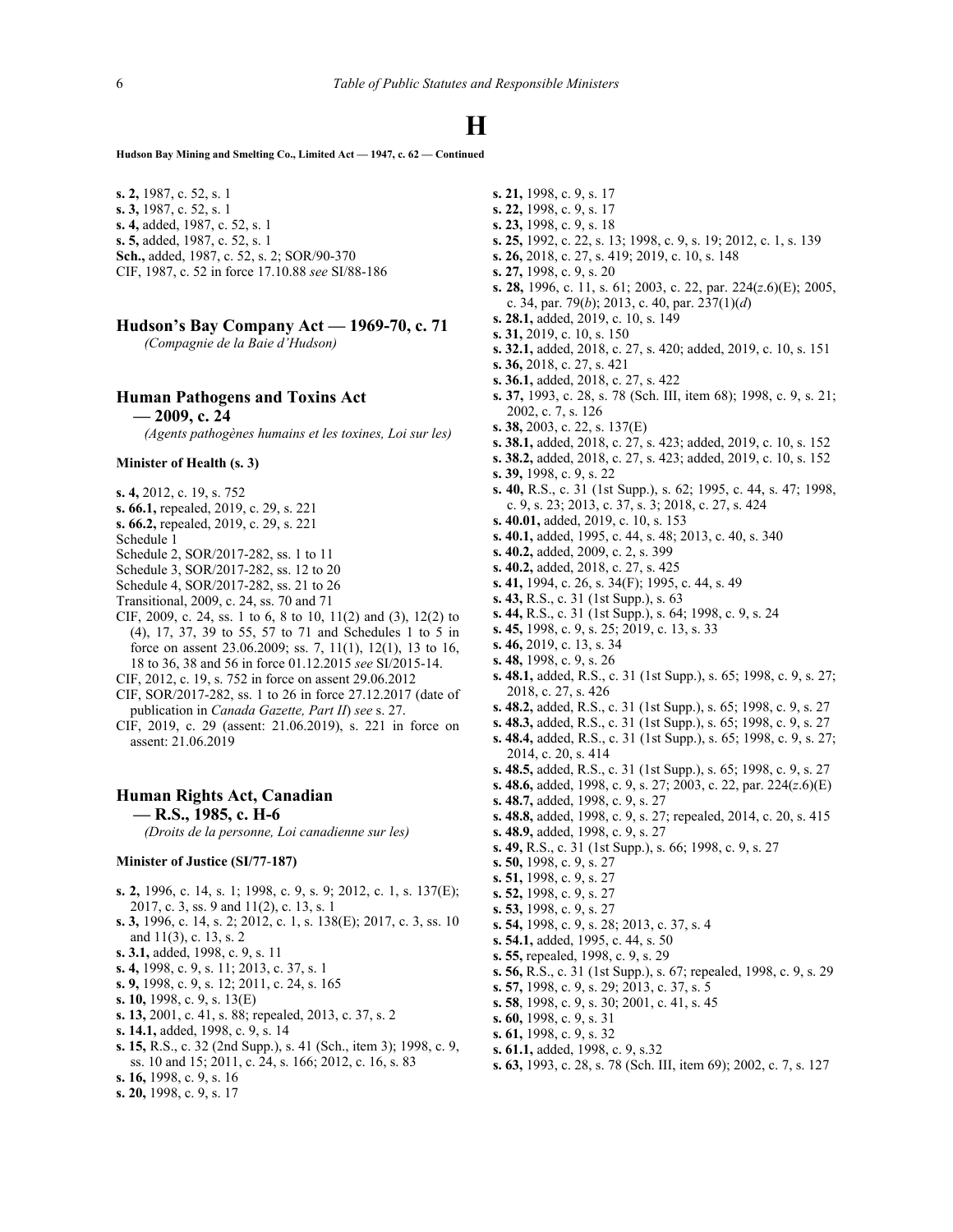**Hudson Bay Mining and Smelting Co., Limited Act — 1947, c. 62 — Continued**

**s. 2,** 1987, c. 52, s. 1 **s. 3,** 1987, c. 52, s. 1 **s. 4,** added, 1987, c. 52, s. 1 **s. 5,** added, 1987, c. 52, s. 1 **Sch.,** added, 1987, c. 52, s. 2; SOR/90‑370 CIF, 1987, c. 52 in force 17.10.88 *see* SI/88‑186

#### **Hudson's Bay Company Act — 1969-70, c. 71**

*(Compagnie de la Baie d'Hudson)*

#### **Human Pathogens and Toxins Act**

**— 2009, c. 24**

*(Agents pathogènes humains et les toxines, Loi sur les)*

#### **Minister of Health (s. 3)**

- **s. 4,** 2012, c. 19, s. 752
- **s. 66.1,** repealed, 2019, c. 29, s. 221
- **s. 66.2,** repealed, 2019, c. 29, s. 221
- Schedule 1
- Schedule 2, SOR/2017-282, ss. 1 to 11
- Schedule 3, SOR/2017-282, ss. 12 to 20
- Schedule 4, SOR/2017-282, ss. 21 to 26
- Transitional, 2009, c. 24, ss. 70 and 71
- CIF, 2009, c. 24, ss. 1 to 6, 8 to 10, 11(2) and (3), 12(2) to (4), 17, 37, 39 to 55, 57 to 71 and Schedules 1 to 5 in force on assent 23.06.2009; ss. 7, 11(1), 12(1), 13 to 16, 18 to 36, 38 and 56 in force 01.12.2015 *see* SI/2015-14.
- CIF, 2012, c. 19, s. 752 in force on assent 29.06.2012
- CIF, SOR/2017-282, ss. 1 to 26 in force 27.12.2017 (date of publication in *Canada Gazette, Part II*) *see* s. 27.
- CIF, 2019, c. 29 (assent: 21.06.2019), s. 221 in force on assent: 21.06.2019

#### **Human Rights Act, Canadian — R.S., 1985, c. H-6**

*(Droits de la personne, Loi canadienne sur les)*

#### **Minister of Justice (SI/77**‑**187)**

- **s. 2,** 1996, c. 14, s. 1; 1998, c. 9, s. 9; 2012, c. 1, s. 137(E); 2017, c. 3, ss. 9 and 11(2), c. 13, s. 1
- **s. 3,** 1996, c. 14, s. 2; 2012, c. 1, s. 138(E); 2017, c. 3, ss. 10 and 11(3), c. 13, s. 2
- **s. 3.1,** added, 1998, c. 9, s. 11
- **s. 4,** 1998, c. 9, s. 11; 2013, c. 37, s. 1
- **s. 9,** 1998, c. 9, s. 12; 2011, c. 24, s. 165
- **s. 10,** 1998, c. 9, s. 13(E)
- **s. 13,** 2001, c. 41, s. 88; repealed, 2013, c. 37, s. 2
- **s. 14.1,** added, 1998, c. 9, s. 14
- **s. 15,** R.S., c. 32 (2nd Supp.), s. 41 (Sch., item 3); 1998, c. 9, ss. 10 and 15; 2011, c. 24, s. 166; 2012, c. 16, s. 83
- **s. 16,** 1998, c. 9, s. 16
- **s. 20,** 1998, c. 9, s. 17
- **s. 21,** 1998, c. 9, s. 17
- **s. 22,** 1998, c. 9, s. 17
- **s. 23,** 1998, c. 9, s. 18
- **s. 25,** 1992, c. 22, s. 13; 1998, c. 9, s. 19; 2012, c. 1, s. 139
- **s. 26,** 2018, c. 27, s. 419; 2019, c. 10, s. 148
- **s. 27,** 1998, c. 9, s. 20
- **s. 28,** 1996, c. 11, s. 61; 2003, c. 22, par. 224(*z*.6)(E); 2005, c. 34, par. 79(*b*); 2013, c. 40, par. 237(1)(*d*)
- **s. 28.1,** added, 2019, c. 10, s. 149
- **s. 31,** 2019, c. 10, s. 150
- **s. 32.1,** added, 2018, c. 27, s. 420; added, 2019, c. 10, s. 151
- **s. 36,** 2018, c. 27, s. 421
- **s. 36.1,** added, 2018, c. 27, s. 422
- **s. 37,** 1993, c. 28, s. 78 (Sch. III, item 68); 1998, c. 9, s. 21; 2002, c. 7, s. 126
- **s. 38,** 2003, c. 22, s. 137(E)
- **s. 38.1,** added, 2018, c. 27, s. 423; added, 2019, c. 10, s. 152
- **s. 38.2,** added, 2018, c. 27, s. 423; added, 2019, c. 10, s. 152
- **s. 39,** 1998, c. 9, s. 22
- **s. 40,** R.S., c. 31 (1st Supp.), s. 62; 1995, c. 44, s. 47; 1998, c. 9, s. 23; 2013, c. 37, s. 3; 2018, c. 27, s. 424
- **s. 40.01,** added, 2019, c. 10, s. 153
- **s. 40.1,** added, 1995, c. 44, s. 48; 2013, c. 40, s. 340
- **s. 40.2,** added, 2009, c. 2, s. 399
- **s. 40.2,** added, 2018, c. 27, s. 425
- **s. 41,** 1994, c. 26, s. 34(F); 1995, c. 44, s. 49
- **s. 43,** R.S., c. 31 (1st Supp.), s. 63
- **s. 44,** R.S., c. 31 (1st Supp.), s. 64; 1998, c. 9, s. 24
- **s. 45,** 1998, c. 9, s. 25; 2019, c. 13, s. 33
- **s. 46,** 2019, c. 13, s. 34
- **s. 48,** 1998, c. 9, s. 26
- **s. 48.1,** added, R.S., c. 31 (1st Supp.), s. 65; 1998, c. 9, s. 27; 2018, c. 27, s. 426
- **s. 48.2,** added, R.S., c. 31 (1st Supp.), s. 65; 1998, c. 9, s. 27
- **s. 48.3,** added, R.S., c. 31 (1st Supp.), s. 65; 1998, c. 9, s. 27
- **s. 48.4,** added, R.S., c. 31 (1st Supp.), s. 65; 1998, c. 9, s. 27; 2014, c. 20, s. 414
- **s. 48.5,** added, R.S., c. 31 (1st Supp.), s. 65; 1998, c. 9, s. 27
- **s. 48.6,** added, 1998, c. 9, s. 27; 2003, c. 22, par. 224(*z*.6)(E)
- **s. 48.7,** added, 1998, c. 9, s. 27
- **s. 48.8,** added, 1998, c. 9, s. 27; repealed, 2014, c. 20, s. 415
- **s. 48.9,** added, 1998, c. 9, s. 27
- **s. 49,** R.S., c. 31 (1st Supp.), s. 66; 1998, c. 9, s. 27
- **s. 50,** 1998, c. 9, s. 27
- **s. 51,** 1998, c. 9, s. 27
- **s. 52,** 1998, c. 9, s. 27
- **s. 53,** 1998, c. 9, s. 27
- **s. 54,** 1998, c. 9, s. 28; 2013, c. 37, s. 4
- **s. 54.1,** added, 1995, c. 44, s. 50
- **s. 55,** repealed, 1998, c. 9, s. 29
- **s. 56,** R.S., c. 31 (1st Supp.), s. 67; repealed, 1998, c. 9, s. 29
- **s. 57,** 1998, c. 9, s. 29; 2013, c. 37, s. 5
- **s. 58**, 1998, c. 9, s. 30; 2001, c. 41, s. 45
- **s. 60,** 1998, c. 9, s. 31
- **s. 61,** 1998, c. 9, s. 32
- **s. 61.1,** added, 1998, c. 9, s.32
- **s. 63,** 1993, c. 28, s. 78 (Sch. III, item 69); 2002, c. 7, s. 127